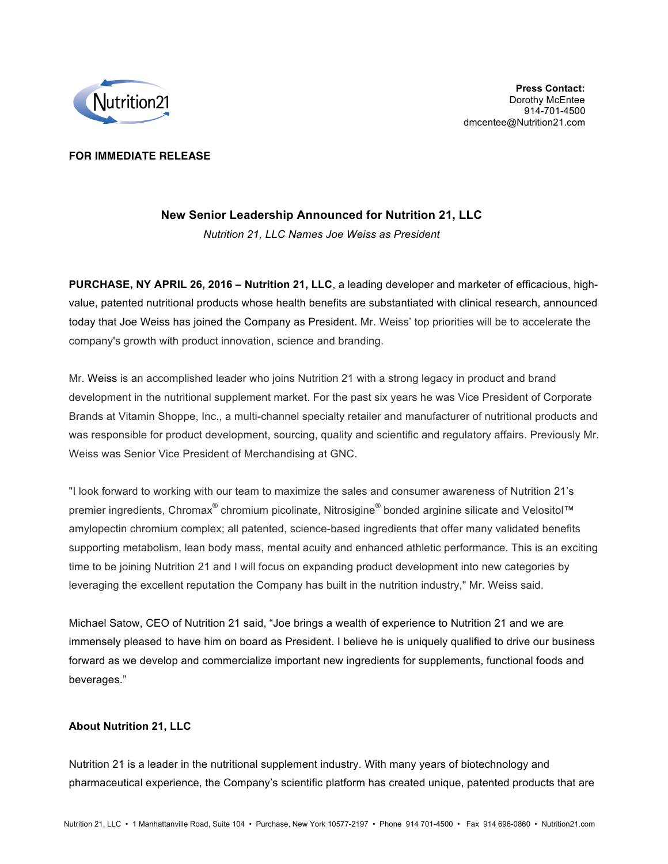

## **FOR IMMEDIATE RELEASE**

# **New Senior Leadership Announced for Nutrition 21, LLC**

*Nutrition 21, LLC Names Joe Weiss as President*

**PURCHASE, NY APRIL 26, 2016 – Nutrition 21, LLC**, a leading developer and marketer of efficacious, highvalue, patented nutritional products whose health benefits are substantiated with clinical research, announced today that Joe Weiss has joined the Company as President. Mr. Weiss' top priorities will be to accelerate the company's growth with product innovation, science and branding.

Mr. Weiss is an accomplished leader who joins Nutrition 21 with a strong legacy in product and brand development in the nutritional supplement market. For the past six years he was Vice President of Corporate Brands at Vitamin Shoppe, Inc., a multi-channel specialty retailer and manufacturer of nutritional products and was responsible for product development, sourcing, quality and scientific and regulatory affairs. Previously Mr. Weiss was Senior Vice President of Merchandising at GNC.

"I look forward to working with our team to maximize the sales and consumer awareness of Nutrition 21's premier ingredients, Chromax<sup>®</sup> chromium picolinate, Nitrosigine<sup>®</sup> bonded arginine silicate and Velositol™ amylopectin chromium complex; all patented, science-based ingredients that offer many validated benefits supporting metabolism, lean body mass, mental acuity and enhanced athletic performance. This is an exciting time to be joining Nutrition 21 and I will focus on expanding product development into new categories by leveraging the excellent reputation the Company has built in the nutrition industry," Mr. Weiss said.

Michael Satow, CEO of Nutrition 21 said, "Joe brings a wealth of experience to Nutrition 21 and we are immensely pleased to have him on board as President. I believe he is uniquely qualified to drive our business forward as we develop and commercialize important new ingredients for supplements, functional foods and beverages."

### **About Nutrition 21, LLC**

Nutrition 21 is a leader in the nutritional supplement industry. With many years of biotechnology and pharmaceutical experience, the Company's scientific platform has created unique, patented products that are